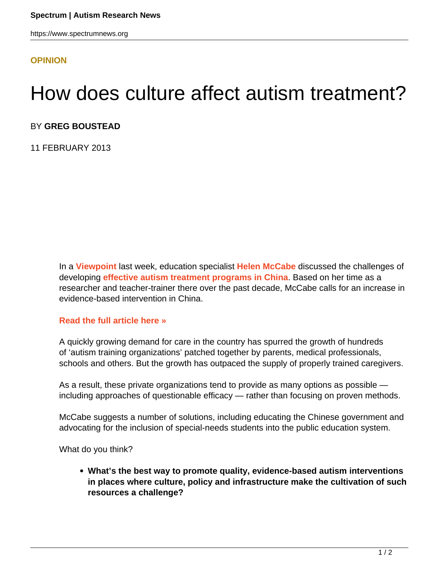## **[OPINION](HTTPS://WWW.SPECTRUMNEWS.ORG/OPINION/)**

## How does culture affect autism treatment?

## BY **GREG BOUSTEAD**

11 FEBRUARY 2013

In a **[Viewpoint](../../../news-and-opinion/viewpoint)** last week, education specialist **[Helen McCabe](/author/?author=https%3A%2F%2Fid.simonsfoundation.org%2Fhelenmccabe)** discussed the challenges of developing **[effective autism treatment programs in China](../../../news-and-opinion/viewpoint/2013/chinas-growing-awareness-of-treatments-for-autism)**. Based on her time as a researcher and teacher-trainer there over the past decade, McCabe calls for an increase in evidence-based intervention in China.

## **[Read the full article here »](https://www.spectrumnews.org/viewpoint/2013/chinas-growing-awareness-of-treatments-for-autism)**

A quickly growing demand for care in the country has spurred the growth of hundreds of 'autism training organizations' patched together by parents, medical professionals, schools and others. But the growth has outpaced the supply of properly trained caregivers.

As a result, these private organizations tend to provide as many options as possible including approaches of questionable efficacy — rather than focusing on proven methods.

McCabe suggests a number of solutions, including educating the Chinese government and advocating for the inclusion of special-needs students into the public education system.

What do you think?

**What's the best way to promote quality, evidence-based autism interventions in places where culture, policy and infrastructure make the cultivation of such resources a challenge?**